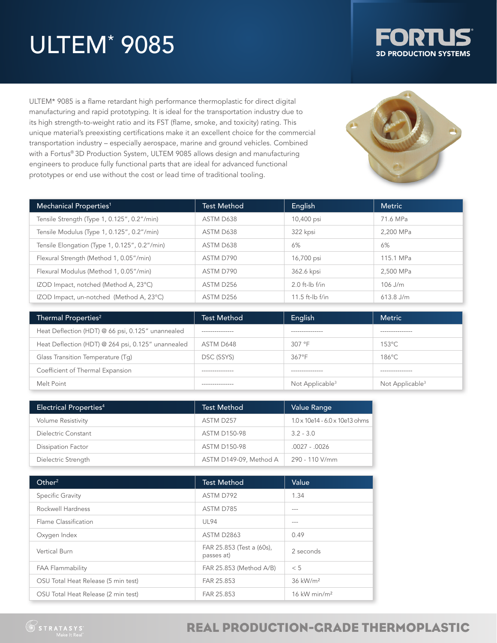# ULTEM\* 9085



ULTEM\* 9085 is a flame retardant high performance thermoplastic for direct digital manufacturing and rapid prototyping. It is ideal for the transportation industry due to its high strength-to-weight ratio and its FST (flame, smoke, and toxicity) rating. This unique material's preexisting certifications make it an excellent choice for the commercial transportation industry – especially aerospace, marine and ground vehicles. Combined with a Fortus® 3D Production System, ULTEM 9085 allows design and manufacturing engineers to produce fully functional parts that are ideal for advanced functional prototypes or end use without the cost or lead time of traditional tooling.



| Mechanical Properties <sup>1</sup>            | <b>Test Method</b> | English           | <b>Metric</b> |
|-----------------------------------------------|--------------------|-------------------|---------------|
| Tensile Strength (Type 1, 0.125", 0.2"/min)   | ASTM D638          | 10,400 psi        | 71.6 MPa      |
| Tensile Modulus (Type 1, 0.125", 0.2"/min)    | ASTM D638          | 322 kpsi          | 2.200 MPa     |
| Tensile Elongation (Type 1, 0.125", 0.2"/min) | ASTM D638          | 6%                | 6%            |
| Flexural Strength (Method 1, 0.05"/min)       | ASTM D790          | 16,700 psi        | 115.1 MPa     |
| Flexural Modulus (Method 1, 0.05"/min)        | ASTM D790          | 362.6 kpsi        | 2.500 MPa     |
| IZOD Impact, notched (Method A, 23°C)         | ASTM D256          | $2.0$ ft-lb f/in  | $106$ J/m     |
| IZOD Impact, un-notched (Method A, 23°C)      | ASTM D256          | $11.5$ ft-lb f/in | $613.8$ J/m   |

| Thermal Properties <sup>2</sup>                    | <b>Test Method</b> | English                     | <b>Metric</b>               |
|----------------------------------------------------|--------------------|-----------------------------|-----------------------------|
| Heat Deflection (HDT) @ 66 psi, 0.125" unannealed  | ---------------    | --------------              | ----------------            |
| Heat Deflection (HDT) @ 264 psi, 0.125" unannealed | ASTM D648          | 307 °F                      | $153^{\circ}$ C             |
| Glass Transition Temperature (Tq)                  | DSC (SSYS)         | 367°F                       | 186°C                       |
| Coefficient of Thermal Expansion                   | ---------------    | --------------              | ----------------            |
| Melt Point                                         | --------------     | Not Applicable <sup>3</sup> | Not Applicable <sup>3</sup> |

| <b>Electrical Properties4</b> | <b>Test Method</b>     | Value Range                                |
|-------------------------------|------------------------|--------------------------------------------|
| <b>Volume Resistivity</b>     | ASTM D257              | $1.0 \times 10e14 - 6.0 \times 10e13$ ohms |
| Dielectric Constant           | <b>ASTM D150-98</b>    | $3.2 - 3.0$                                |
| <b>Dissipation Factor</b>     | <b>ASTM D150-98</b>    | $.0027 - .0026$                            |
| Dielectric Strength           | ASTM D149-09, Method A | 290 - 110 V/mm                             |

| Other <sup>2</sup>                  | <b>Test Method</b>                      | Value                      |
|-------------------------------------|-----------------------------------------|----------------------------|
| <b>Specific Gravity</b>             | ASTM D792                               | 1.34                       |
| Rockwell Hardness                   | ASTM D785                               | $- - -$                    |
| Flame Classification                | UL94                                    | $- - -$                    |
| Oxygen Index                        | <b>ASTM D2863</b>                       | 0.49                       |
| Vertical Burn                       | FAR 25.853 (Test a (60s),<br>passes at) | 2 seconds                  |
| <b>FAA Flammability</b>             | FAR 25.853 (Method A/B)                 | < 5                        |
| OSU Total Heat Release (5 min test) | FAR 25.853                              | 36 kW/m <sup>2</sup>       |
| OSU Total Heat Release (2 min test) | FAR 25.853                              | $16$ kW min/m <sup>2</sup> |

### REAL PRODUCTION-GRADE THERMOPLASTIC